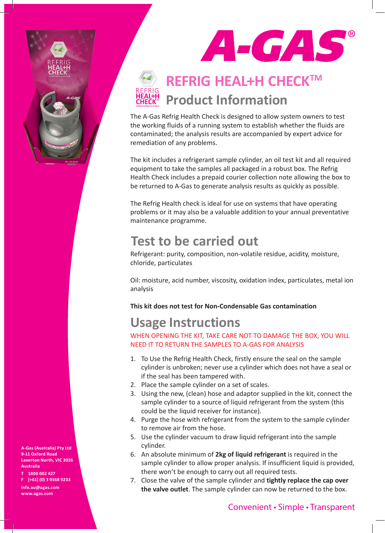

# ACAS

## **REFRIG HEAL+H CHECK™ Product Information**

The A-Gas Refrig Health Check is designed to allow system owners to test the working fluids of a running system to establish whether the fluids are contaminated; the analysis results are accompanied by expert advice for remediation of any problems.

The kit includes a refrigerant sample cylinder, an oil test kit and all required equipment to take the samples all packaged in a robust box. The Refrig Health Check includes a prepaid courier collection note allowing the box to be returned to A-Gas to generate analysis results as quickly as possible.

The Refrig Health check is ideal for use on systems that have operating problems or it may also be a valuable addition to your annual preventative maintenance programme.

## **Test to be carried out**

Refrigerant: purity, composition, non-volatile residue, acidity, moisture, chloride, particulates

Oil: moisture, acid number, viscosity, oxidation index, particulates, metal ion analysis

#### **This kit does not test for Non-Condensable Gas contamination**

### **Usage Instructions**

WHEN OPENING THE KIT, TAKE CARE NOT TO DAMAGE THE BOX, YOU WILL NEED IT TO RETURN THE SAMPLES TO A-GAS FOR ANALYSIS

- 1. To Use the Refrig Health Check, firstly ensure the seal on the sample cylinder is unbroken; never use a cylinder which does not have a seal or if the seal has been tampered with.
- 2. Place the sample cylinder on a set of scales.
- 3. Using the new, (clean) hose and adaptor supplied in the kit, connect the sample cylinder to a source of liquid refrigerant from the system (this could be the liquid receiver for instance).
- 4. Purge the hose with refrigerant from the system to the sample cylinder to remove air from the hose.
- 5. Use the cylinder vacuum to draw liquid refrigerant into the sample cylinder.
- 6. An absolute minimum of **2kg of liquid refrigerant** is required in the sample cylinder to allow proper analysis. If insufficient liquid is provided, there won't be enough to carry out all required tests.
- 7. Close the valve of the sample cylinder and **tightly replace the cap over the valve outlet**. The sample cylinder can now be returned to the box.

**A-Gas (Australia) Pty Ltd 9-11 Oxford Road Laverton North, VIC 3026 Australia**

**T 1800 002 427 F [+61] (0) 3 9368 9233 info.au@agas.com www.agas.com**